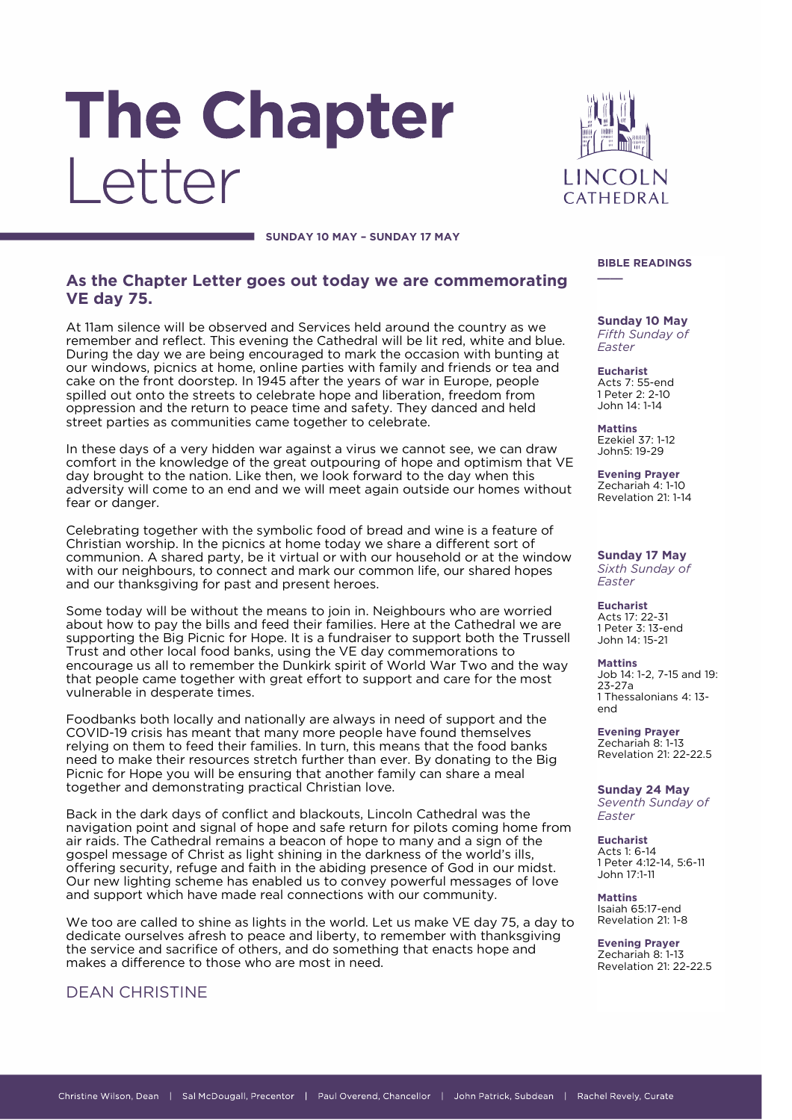# The Chapter I etter



**SUNDAY 10 MAY – SUNDAY 17 MAY**

## **As the Chapter Letter goes out today we are commemorating VE day 75.**

At 11am silence will be observed and Services held around the country as we remember and reflect. This evening the Cathedral will be lit red, white and blue. During the day we are being encouraged to mark the occasion with bunting at our windows, picnics at home, online parties with family and friends or tea and cake on the front doorstep. In 1945 after the years of war in Europe, people spilled out onto the streets to celebrate hope and liberation, freedom from oppression and the return to peace time and safety. They danced and held street parties as communities came together to celebrate.

In these days of a very hidden war against a virus we cannot see, we can draw comfort in the knowledge of the great outpouring of hope and optimism that VE day brought to the nation. Like then, we look forward to the day when this adversity will come to an end and we will meet again outside our homes without fear or danger.

Celebrating together with the symbolic food of bread and wine is a feature of Christian worship. In the picnics at home today we share a different sort of communion. A shared party, be it virtual or with our household or at the window with our neighbours, to connect and mark our common life, our shared hopes and our thanksgiving for past and present heroes.

Some today will be without the means to join in. Neighbours who are worried about how to pay the bills and feed their families. Here at the Cathedral we are supporting the Big Picnic for Hope. It is a fundraiser to support both the Trussell Trust and other local food banks, using the VE day commemorations to encourage us all to remember the Dunkirk spirit of World War Two and the way that people came together with great effort to support and care for the most vulnerable in desperate times.

Foodbanks both locally and nationally are always in need of support and the COVID-19 crisis has meant that many more people have found themselves relying on them to feed their families. In turn, this means that the food banks need to make their resources stretch further than ever. By donating to the Big Picnic for Hope you will be ensuring that another family can share a meal together and demonstrating practical Christian love.

Back in the dark days of conflict and blackouts, Lincoln Cathedral was the navigation point and signal of hope and safe return for pilots coming home from air raids. The Cathedral remains a beacon of hope to many and a sign of the gospel message of Christ as light shining in the darkness of the world's ills, offering security, refuge and faith in the abiding presence of God in our midst. Our new lighting scheme has enabled us to convey powerful messages of love and support which have made real connections with our community.

We too are called to shine as lights in the world. Let us make VE day 75, a day to dedicate ourselves afresh to peace and liberty, to remember with thanksgiving the service and sacrifice of others, and do something that enacts hope and makes a difference to those who are most in need.

## DEAN CHRISTINE

#### **BIBLE READINGS \_\_\_\_**

**Sunday 10 May** *Fifth Sunday of Easter*

**Eucharist** Acts 7: 55-end 1 Peter 2: 2-10 John 14: 1-14

**Mattins** Ezekiel 37: 1-12 John5: 19-29

**Evening Prayer** Zechariah 4: 1-10 Revelation 21: 1-14

**Sunday 17 May** *Sixth Sunday of Easter*

**Eucharist** Acts 17: 22-31 1 Peter 3: 13-end John 14: 15-21

**Mattins** Job 14: 1-2, 7-15 and 19: 23-27a 1 Thessalonians 4: 13 end

**Evening Prayer** Zechariah 8: 1-13 Revelation 21: 22-22.5

**Sunday 24 May** *Seventh Sunday of Easter*

**Eucharist** Acts 1: 6-14 1 Peter 4:12-14, 5:6-11 John 17:1-11

**Mattins** Isaiah 65:17-end Revelation 21: 1-8

**Evening Prayer** Zechariah 8: 1-13 Revelation 21: 22-22.5